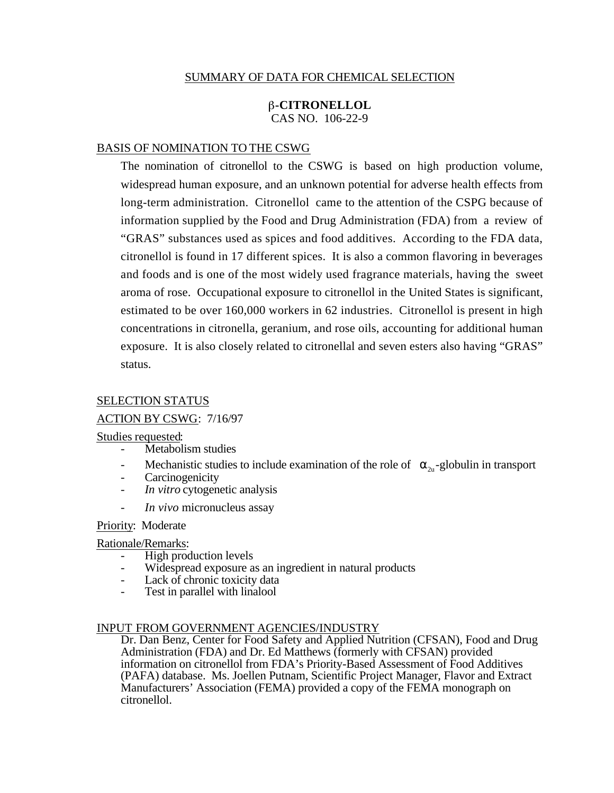### SUMMARY OF DATA FOR CHEMICAL SELECTION

### **-CITRONELLOL**  CAS NO. 106-22-9

#### BASIS OF NOMINATION TO THE CSWG

The nomination of citronellol to the CSWG is based on high production volume, widespread human exposure, and an unknown potential for adverse health effects from long-term administration. Citronellol came to the attention of the CSPG because of information supplied by the Food and Drug Administration (FDA) from a review of "GRAS" substances used as spices and food additives. According to the FDA data, citronellol is found in 17 different spices. It is also a common flavoring in beverages and foods and is one of the most widely used fragrance materials, having the sweet aroma of rose. Occupational exposure to citronellol in the United States is significant, estimated to be over 160,000 workers in 62 industries. Citronellol is present in high concentrations in citronella, geranium, and rose oils, accounting for additional human exposure. It is also closely related to citronellal and seven esters also having "GRAS" status.

#### SELECTION STATUS

### ACTION BY CSWG: 7/16/97

#### Studies requested:

- Metabolism studies
- Mechanistic studies to include examination of the role of  $_{2u}$ -globulin in transport
- **Carcinogenicity**
- *In vitro* cytogenetic analysis
- *In vivo* micronucleus assay

### Priority: Moderate

# Rationale/Remarks:

- High production levels
- Widespread exposure as an ingredient in natural products
- Lack of chronic toxicity data
- Test in parallel with linalool

#### INPUT FROM GOVERNMENT AGENCIES/INDUSTRY

Dr. Dan Benz, Center for Food Safety and Applied Nutrition (CFSAN), Food and Drug Administration (FDA) and Dr. Ed Matthews (formerly with CFSAN) provided information on citronellol from FDA's Priority-Based Assessment of Food Additives (PAFA) database. Ms. Joellen Putnam, Scientific Project Manager, Flavor and Extract Manufacturers' Association (FEMA) provided a copy of the FEMA monograph on citronellol.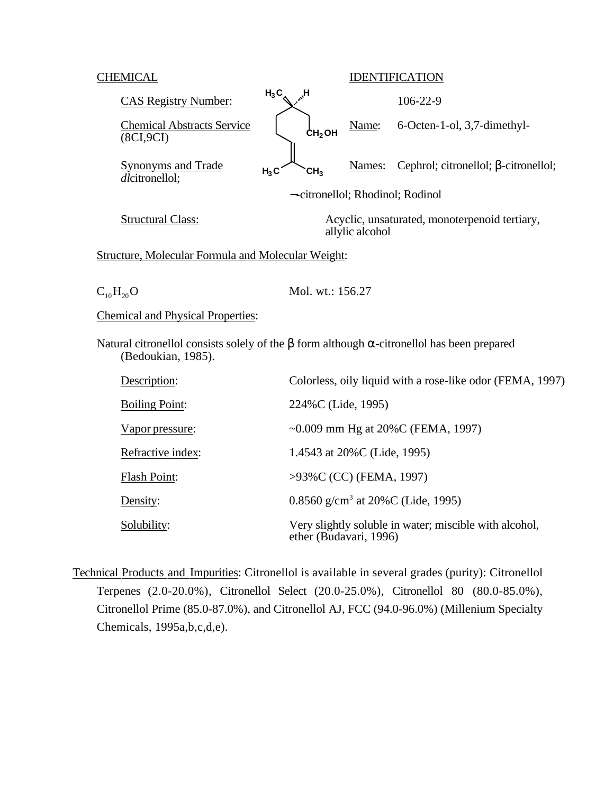| <b>CHEMICAL</b>                                                  |                                     | <b>IDENTIFICATION</b>                         |                                                           |  |
|------------------------------------------------------------------|-------------------------------------|-----------------------------------------------|-----------------------------------------------------------|--|
| <b>CAS Registry Number:</b>                                      | $H_3C$<br>$\mathbf{H}_{\mathbf{A}}$ |                                               | 106-22-9                                                  |  |
| <b>Chemical Abstracts Service</b><br>(8CI, 9CI)                  |                                     | Name:<br>CH <sub>2</sub> OH                   | 6-Octen-1-ol, 3,7-dimethyl-                               |  |
| <b>Synonyms and Trade</b><br>dlcitronellol;                      | CH <sub>3</sub><br>$H_3C$           | Names:                                        | Cephrol; citronellol; -citronellol;                       |  |
|                                                                  |                                     | --citronellol; Rhodinol; Rodinol              |                                                           |  |
| <b>Structural Class:</b>                                         |                                     | allylic alcohol                               | Acyclic, unsaturated, monoterpenoid tertiary,             |  |
| Structure, Molecular Formula and Molecular Weight:               |                                     |                                               |                                                           |  |
| $C_{10}H_{20}O$                                                  |                                     | Mol. wt.: 156.27                              |                                                           |  |
| <b>Chemical and Physical Properties:</b>                         |                                     |                                               |                                                           |  |
| Natural citronellol consists solely of the<br>(Bedoukian, 1985). |                                     |                                               | form although -citronellol has been prepared              |  |
| Description:                                                     |                                     |                                               | Colorless, oily liquid with a rose-like odor (FEMA, 1997) |  |
| <b>Boiling Point:</b>                                            |                                     | 224%C (Lide, 1995)                            |                                                           |  |
| Vapor pressure:                                                  |                                     |                                               | ~0.009 mm Hg at $20\%$ C (FEMA, 1997)                     |  |
| Refractive index:                                                |                                     | 1.4543 at 20%C (Lide, 1995)                   |                                                           |  |
| Flash Point:                                                     |                                     | >93%C (CC) (FEMA, 1997)                       |                                                           |  |
| Density:                                                         |                                     | 0.8560 g/cm <sup>3</sup> at 20%C (Lide, 1995) |                                                           |  |
| Solubility:                                                      |                                     | ether (Budavari, 1996)                        | Very slightly soluble in water; miscible with alcohol,    |  |

 Technical Products and Impurities: Citronellol is available in several grades (purity): Citronellol Terpenes (2.0-20.0%), Citronellol Select (20.0-25.0%), Citronellol 80 (80.0-85.0%), Citronellol Prime (85.0-87.0%), and Citronellol AJ, FCC (94.0-96.0%) (Millenium Specialty Chemicals, 1995a,b,c,d,e).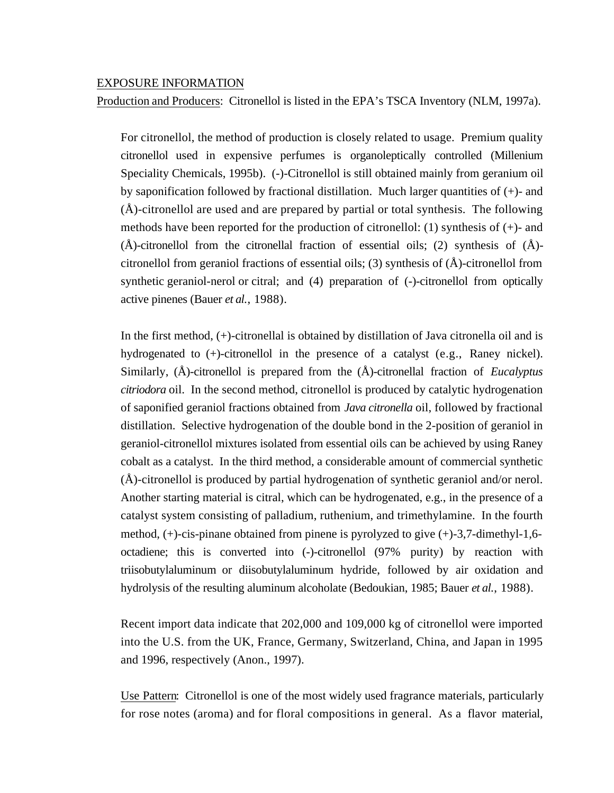#### EXPOSURE INFORMATION

Production and Producers: Citronellol is listed in the EPA's TSCA Inventory (NLM, 1997a).

For citronellol, the method of production is closely related to usage. Premium quality citronellol used in expensive perfumes is organoleptically controlled (Millenium Speciality Chemicals, 1995b). (-)-Citronellol is still obtained mainly from geranium oil by saponification followed by fractional distillation. Much larger quantities of  $(+)$ - and (Å)-citronellol are used and are prepared by partial or total synthesis. The following methods have been reported for the production of citronellol: (1) synthesis of  $(+)$ - and  $(\AA)$ -citronellol from the citronellal fraction of essential oils; (2) synthesis of  $(\AA)$ citronellol from geraniol fractions of essential oils; (3) synthesis of (Å)-citronellol from synthetic geraniol-nerol or citral; and (4) preparation of (-)-citronellol from optically active pinenes (Bauer *et al*., 1988).

In the first method, (+)-citronellal is obtained by distillation of Java citronella oil and is hydrogenated to (+)-citronellol in the presence of a catalyst (e.g., Raney nickel). Similarly, (Å)-citronellol is prepared from the (Å)-citronellal fraction of *Eucalyptus citriodora* oil. In the second method, citronellol is produced by catalytic hydrogenation of saponified geraniol fractions obtained from *Java citronella* oil, followed by fractional distillation. Selective hydrogenation of the double bond in the 2-position of geraniol in geraniol-citronellol mixtures isolated from essential oils can be achieved by using Raney cobalt as a catalyst. In the third method, a considerable amount of commercial synthetic (Å)-citronellol is produced by partial hydrogenation of synthetic geraniol and/or nerol. Another starting material is citral, which can be hydrogenated, e.g., in the presence of a catalyst system consisting of palladium, ruthenium, and trimethylamine. In the fourth method,  $(+)$ -cis-pinane obtained from pinene is pyrolyzed to give  $(+)$ -3,7-dimethyl-1,6octadiene; this is converted into (-)-citronellol (97% purity) by reaction with triisobutylaluminum or diisobutylaluminum hydride, followed by air oxidation and hydrolysis of the resulting aluminum alcoholate (Bedoukian, 1985; Bauer *et al*., 1988).

Recent import data indicate that 202,000 and 109,000 kg of citronellol were imported into the U.S. from the UK, France, Germany, Switzerland, China, and Japan in 1995 and 1996, respectively (Anon., 1997).

Use Pattern: Citronellol is one of the most widely used fragrance materials, particularly for rose notes (aroma) and for floral compositions in general. As a flavor material,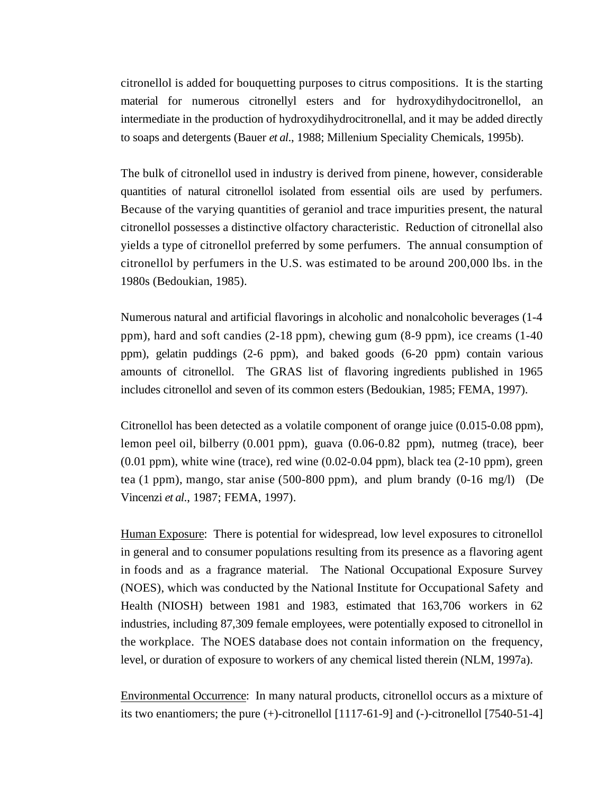citronellol is added for bouquetting purposes to citrus compositions. It is the starting material for numerous citronellyl esters and for hydroxydihydocitronellol, an intermediate in the production of hydroxydihydrocitronellal, and it may be added directly to soaps and detergents (Bauer *et al*., 1988; Millenium Speciality Chemicals, 1995b).

The bulk of citronellol used in industry is derived from pinene, however, considerable quantities of natural citronellol isolated from essential oils are used by perfumers. Because of the varying quantities of geraniol and trace impurities present, the natural citronellol possesses a distinctive olfactory characteristic. Reduction of citronellal also yields a type of citronellol preferred by some perfumers. The annual consumption of citronellol by perfumers in the U.S. was estimated to be around 200,000 lbs. in the 1980s (Bedoukian, 1985).

Numerous natural and artificial flavorings in alcoholic and nonalcoholic beverages (1-4 ppm), hard and soft candies (2-18 ppm), chewing gum (8-9 ppm), ice creams (1-40 ppm), gelatin puddings (2-6 ppm), and baked goods (6-20 ppm) contain various amounts of citronellol. The GRAS list of flavoring ingredients published in 1965 includes citronellol and seven of its common esters (Bedoukian, 1985; FEMA, 1997).

Citronellol has been detected as a volatile component of orange juice (0.015-0.08 ppm), lemon peel oil, bilberry (0.001 ppm), guava (0.06-0.82 ppm), nutmeg (trace), beer  $(0.01$  ppm), white wine (trace), red wine  $(0.02-0.04$  ppm), black tea  $(2-10$  ppm), green tea (1 ppm), mango, star anise (500-800 ppm), and plum brandy (0-16 mg/l) (De Vincenzi *et al*., 1987; FEMA, 1997).

Human Exposure: There is potential for widespread, low level exposures to citronellol in general and to consumer populations resulting from its presence as a flavoring agent in foods and as a fragrance material. The National Occupational Exposure Survey (NOES), which was conducted by the National Institute for Occupational Safety and Health (NIOSH) between 1981 and 1983, estimated that 163,706 workers in 62 industries, including 87,309 female employees, were potentially exposed to citronellol in the workplace. The NOES database does not contain information on the frequency, level, or duration of exposure to workers of any chemical listed therein (NLM, 1997a).

 Environmental Occurrence: In many natural products, citronellol occurs as a mixture of its two enantiomers; the pure  $(+)$ -citronellol  $[1117-61-9]$  and  $(-)$ -citronellol  $[7540-51-4]$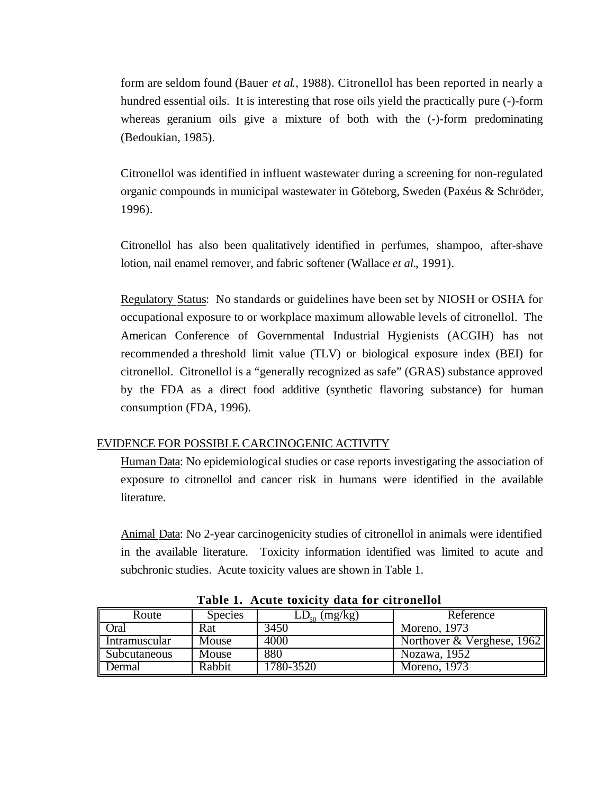form are seldom found (Bauer *et al*., 1988). Citronellol has been reported in nearly a hundred essential oils. It is interesting that rose oils yield the practically pure (-)-form whereas geranium oils give a mixture of both with the  $(-)$ -form predominating (Bedoukian, 1985).

Citronellol was identified in influent wastewater during a screening for non-regulated organic compounds in municipal wastewater in Göteborg, Sweden (Paxéus & Schröder, 1996).

Citronellol has also been qualitatively identified in perfumes, shampoo, after-shave lotion, nail enamel remover, and fabric softener (Wallace *et al.*, 1991).

Regulatory Status: No standards or guidelines have been set by NIOSH or OSHA for occupational exposure to or workplace maximum allowable levels of citronellol. The American Conference of Governmental Industrial Hygienists (ACGIH) has not recommended a threshold limit value (TLV) or biological exposure index (BEI) for citronellol. Citronellol is a "generally recognized as safe" (GRAS) substance approved by the FDA as a direct food additive (synthetic flavoring substance) for human consumption (FDA, 1996).

## EVIDENCE FOR POSSIBLE CARCINOGENIC ACTIVITY

Human Data: No epidemiological studies or case reports investigating the association of exposure to citronellol and cancer risk in humans were identified in the available literature.

Animal Data: No 2-year carcinogenicity studies of citronellol in animals were identified in the available literature. Toxicity information identified was limited to acute and subchronic studies. Acute toxicity values are shown in Table 1.

| Route         | <b>Species</b> | $LD_{50}$ (mg/kg) | Reference                  |
|---------------|----------------|-------------------|----------------------------|
| Oral          | Rat            | 3450              | Moreno, 1973               |
| Intramuscular | Mouse          | 4000              | Northover & Verghese, 1962 |
| Subcutaneous  | Mouse          | 880               | Nozawa, 1952               |
| Dermal        | Rabbit         | 1780-3520         | Moreno, 1973               |

**Table 1. Acute toxicity data for citronellol**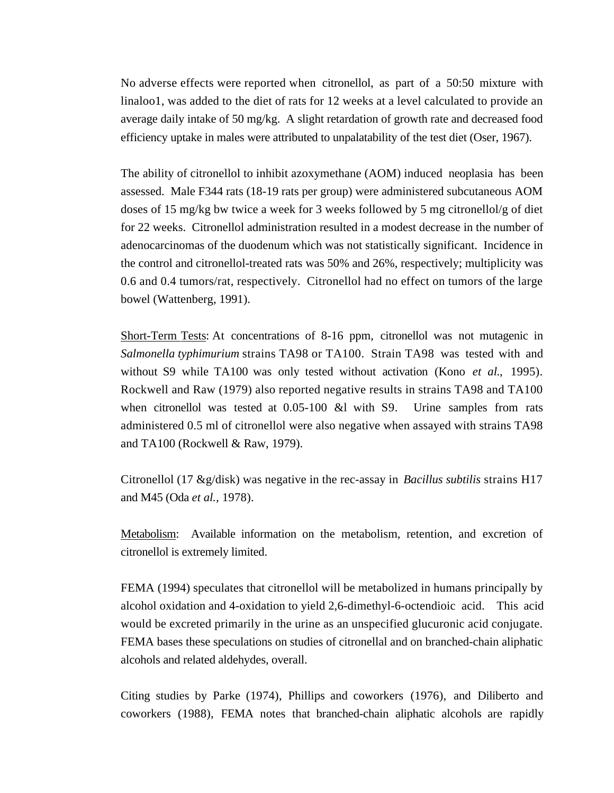No adverse effects were reported when citronellol, as part of a 50:50 mixture with linaloo1, was added to the diet of rats for 12 weeks at a level calculated to provide an average daily intake of 50 mg/kg. A slight retardation of growth rate and decreased food efficiency uptake in males were attributed to unpalatability of the test diet (Oser, 1967).

The ability of citronellol to inhibit azoxymethane (AOM) induced neoplasia has been assessed. Male F344 rats (18-19 rats per group) were administered subcutaneous AOM doses of 15 mg/kg bw twice a week for 3 weeks followed by 5 mg citronellol/g of diet for 22 weeks. Citronellol administration resulted in a modest decrease in the number of adenocarcinomas of the duodenum which was not statistically significant. Incidence in the control and citronellol-treated rats was 50% and 26%, respectively; multiplicity was 0.6 and 0.4 tumors/rat, respectively. Citronellol had no effect on tumors of the large bowel (Wattenberg, 1991).

Short-Term Tests: At concentrations of 8-16 ppm, citronellol was not mutagenic in *Salmonella typhimurium* strains TA98 or TA100. Strain TA98 was tested with and without S9 while TA100 was only tested without activation (Kono *et al.*, 1995). Rockwell and Raw (1979) also reported negative results in strains TA98 and TA100 when citronellol was tested at 0.05-100 &l with S9. Urine samples from rats administered 0.5 ml of citronellol were also negative when assayed with strains TA98 and TA100 (Rockwell & Raw, 1979).

Citronellol (17 &g/disk) was negative in the rec-assay in *Bacillus subtilis* strains H17 and M45 (Oda *et al.,* 1978).

Metabolism: Available information on the metabolism, retention, and excretion of citronellol is extremely limited.

FEMA (1994) speculates that citronellol will be metabolized in humans principally by alcohol oxidation and 4-oxidation to yield 2,6-dimethyl-6-octendioic acid. This acid would be excreted primarily in the urine as an unspecified glucuronic acid conjugate. FEMA bases these speculations on studies of citronellal and on branched-chain aliphatic alcohols and related aldehydes, overall.

Citing studies by Parke (1974), Phillips and coworkers (1976), and Diliberto and coworkers (1988), FEMA notes that branched-chain aliphatic alcohols are rapidly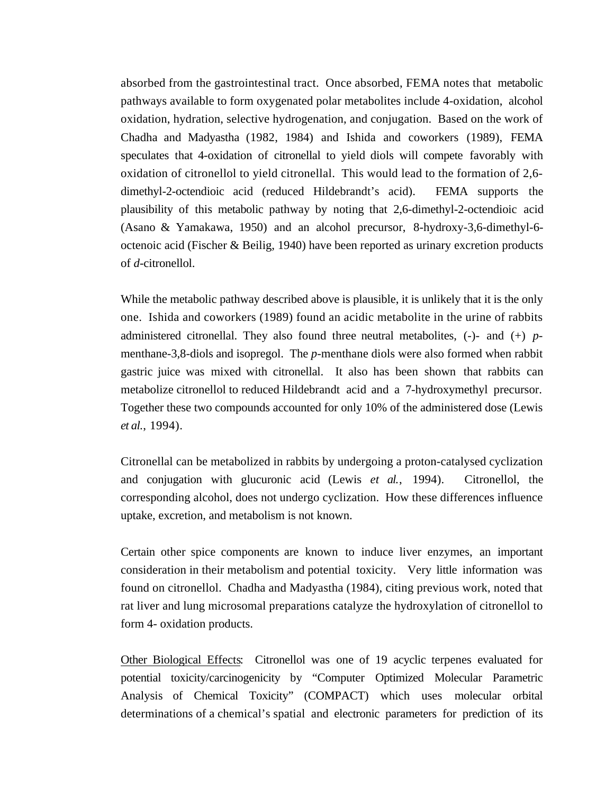absorbed from the gastrointestinal tract. Once absorbed, FEMA notes that metabolic pathways available to form oxygenated polar metabolites include 4-oxidation, alcohol oxidation, hydration, selective hydrogenation, and conjugation. Based on the work of Chadha and Madyastha (1982, 1984) and Ishida and coworkers (1989), FEMA speculates that 4-oxidation of citronellal to yield diols will compete favorably with oxidation of citronellol to yield citronellal. This would lead to the formation of 2,6 dimethyl-2-octendioic acid (reduced Hildebrandt's acid). FEMA supports the plausibility of this metabolic pathway by noting that 2,6-dimethyl-2-octendioic acid (Asano & Yamakawa, 1950) and an alcohol precursor, 8-hydroxy-3,6-dimethyl-6 octenoic acid (Fischer & Beilig, 1940) have been reported as urinary excretion products of *d*-citronellol.

While the metabolic pathway described above is plausible, it is unlikely that it is the only one. Ishida and coworkers (1989) found an acidic metabolite in the urine of rabbits administered citronellal. They also found three neutral metabolites, (-)- and (+) *p*menthane-3,8-diols and isopregol. The *p*-menthane diols were also formed when rabbit gastric juice was mixed with citronellal. It also has been shown that rabbits can metabolize citronellol to reduced Hildebrandt acid and a 7-hydroxymethyl precursor. Together these two compounds accounted for only 10% of the administered dose (Lewis *et al*., 1994).

Citronellal can be metabolized in rabbits by undergoing a proton-catalysed cyclization and conjugation with glucuronic acid (Lewis *et al*., 1994). Citronellol, the corresponding alcohol, does not undergo cyclization. How these differences influence uptake, excretion, and metabolism is not known.

Certain other spice components are known to induce liver enzymes, an important consideration in their metabolism and potential toxicity. Very little information was found on citronellol. Chadha and Madyastha (1984), citing previous work, noted that rat liver and lung microsomal preparations catalyze the hydroxylation of citronellol to form 4- oxidation products.

Other Biological Effects: Citronellol was one of 19 acyclic terpenes evaluated for potential toxicity/carcinogenicity by "Computer Optimized Molecular Parametric Analysis of Chemical Toxicity" (COMPACT) which uses molecular orbital determinations of a chemical's spatial and electronic parameters for prediction of its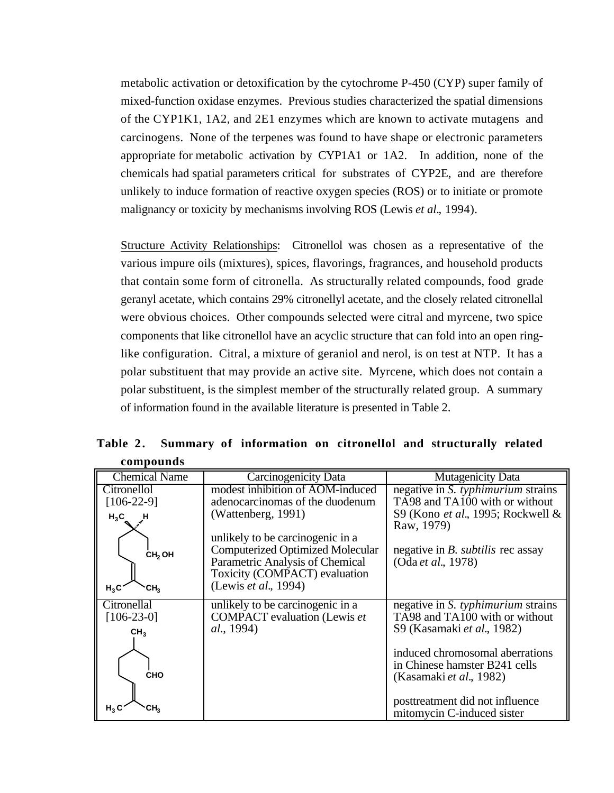metabolic activation or detoxification by the cytochrome P-450 (CYP) super family of mixed-function oxidase enzymes. Previous studies characterized the spatial dimensions of the CYP1K1, 1A2, and 2E1 enzymes which are known to activate mutagens and carcinogens. None of the terpenes was found to have shape or electronic parameters appropriate for metabolic activation by CYP1A1 or 1A2. In addition, none of the chemicals had spatial parameters critical for substrates of CYP2E, and are therefore unlikely to induce formation of reactive oxygen species (ROS) or to initiate or promote malignancy or toxicity by mechanisms involving ROS (Lewis *et al.*, 1994).

Structure Activity Relationships: Citronellol was chosen as a representative of the various impure oils (mixtures), spices, flavorings, fragrances, and household products that contain some form of citronella. As structurally related compounds, food grade geranyl acetate, which contains 29% citronellyl acetate, and the closely related citronellal were obvious choices. Other compounds selected were citral and myrcene, two spice components that like citronellol have an acyclic structure that can fold into an open ringlike configuration. Citral, a mixture of geraniol and nerol, is on test at NTP. It has a polar substituent that may provide an active site. Myrcene, which does not contain a polar substituent, is the simplest member of the structurally related group. A summary of information found in the available literature is presented in Table 2.

| <b>Chemical Name</b>      | Carcinogenicity Data                    | <b>Mutagenicity Data</b>                         |
|---------------------------|-----------------------------------------|--------------------------------------------------|
| Citronellol               | modest inhibition of AOM-induced        | negative in S. typhimurium strains               |
| $[106-22-9]$              | adenocarcinomas of the duodenum         | TA98 and TA100 with or without                   |
| $H_3C_$<br>- H            | (Wattenberg, 1991)                      | S9 (Kono et al., 1995; Rockwell &                |
|                           |                                         | Raw, 1979)                                       |
|                           | unlikely to be carcinogenic in a        |                                                  |
| CH <sub>2</sub> OH        | <b>Computerized Optimized Molecular</b> | negative in <i>B</i> . <i>subtilis</i> rec assay |
|                           | Parametric Analysis of Chemical         | (Oda et al., 1978)                               |
|                           | Toxicity (COMPACT) evaluation           |                                                  |
| $H_3C$<br>CH <sub>2</sub> | (Lewis et al., 1994)                    |                                                  |
| Citronellal               | unlikely to be carcinogenic in a        | negative in S. typhimurium strains               |
| $[106-23-0]$              | <b>COMPACT</b> evaluation (Lewis et     | TA98 and TA100 with or without                   |
| CH <sub>3</sub>           | al., 1994)                              | S9 (Kasamaki et al., 1982)                       |
|                           |                                         |                                                  |
|                           |                                         | induced chromosomal aberrations                  |
| <b>CHO</b>                |                                         | in Chinese hamster B241 cells                    |
|                           |                                         | (Kasamaki et al., 1982)                          |
|                           |                                         | posttreatment did not influence                  |
| $H_3C$<br>CH <sub>2</sub> |                                         | mitomycin C-induced sister                       |

**Table 2. Summary of information on citronellol and structurally related compounds**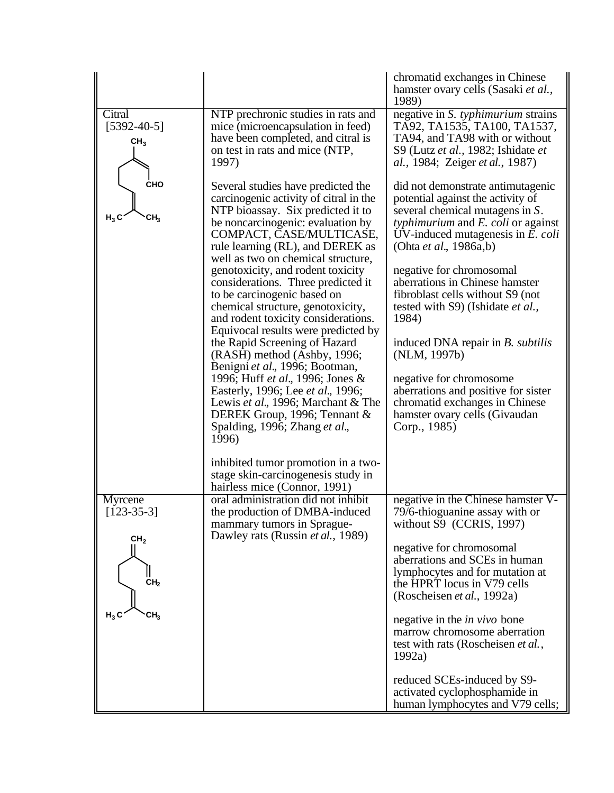|                                                |                                                                                                                                                                                                                                                                                         | chromatid exchanges in Chinese<br>hamster ovary cells (Sasaki et al.,<br>1989)                                                                                                                                                                   |
|------------------------------------------------|-----------------------------------------------------------------------------------------------------------------------------------------------------------------------------------------------------------------------------------------------------------------------------------------|--------------------------------------------------------------------------------------------------------------------------------------------------------------------------------------------------------------------------------------------------|
| Citral<br>$[5392 - 40 - 5]$<br>CH <sub>3</sub> | NTP prechronic studies in rats and<br>mice (microencapsulation in feed)<br>have been completed, and citral is<br>on test in rats and mice (NTP,<br>1997)                                                                                                                                | negative in S. typhimurium strains<br>TA92, TA1535, TA100, TA1537,<br>TA94, and TA98 with or without<br>S9 (Lutz et al., 1982; Ishidate et<br><i>al.</i> , 1984; Zeiger <i>et al.</i> , 1987)                                                    |
| <b>CHO</b><br>$H_3C$<br>CH <sub>3</sub>        | Several studies have predicted the<br>carcinogenic activity of citral in the<br>NTP bioassay. Six predicted it to<br>be noncarcinogenic: evaluation by<br>COMPACT, CASE/MULTICASE,<br>rule learning (RL), and DEREK as<br>well as two on chemical structure,                            | did not demonstrate antimutagenic<br>potential against the activity of<br>several chemical mutagens in S.<br><i>typhimurium</i> and <i>E. coli</i> or against<br>UV-induced mutagenesis in $E$ . $\text{coli}$<br>(Ohta <i>et al.</i> , 1986a,b) |
|                                                | genotoxicity, and rodent toxicity<br>considerations. Three predicted it<br>to be carcinogenic based on<br>chemical structure, genotoxicity,<br>and rodent toxicity considerations.<br>Equivocal results were predicted by                                                               | negative for chromosomal<br>aberrations in Chinese hamster<br>fibroblast cells without S9 (not<br>tested with S9) (Ishidate et al.,<br>1984)                                                                                                     |
|                                                | the Rapid Screening of Hazard<br>(RASH) method (Ashby, 1996;<br>Benigni et al., 1996; Bootman,<br>1996; Huff et al., 1996; Jones &<br>Easterly, 1996; Lee et al., 1996;<br>Lewis et al., 1996; Marchant & The<br>DEREK Group, 1996; Tennant &<br>Spalding, 1996; Zhang et al.,<br>1996) | induced DNA repair in <i>B. subtilis</i><br>(NLM, 1997b)<br>negative for chromosome<br>aberrations and positive for sister<br>chromatid exchanges in Chinese<br>hamster ovary cells (Givaudan<br>Corp., 1985)                                    |
|                                                | inhibited tumor promotion in a two-<br>stage skin-carcinogenesis study in<br>hairless mice (Connor, 1991)                                                                                                                                                                               |                                                                                                                                                                                                                                                  |
| Myrcene<br>$[123-35-3]$<br>CH <sub>2</sub>     | oral administration did not inhibit<br>the production of DMBA-induced<br>mammary tumors in Sprague-<br>Dawley rats (Russin et al., 1989)                                                                                                                                                | negative in the Chinese hamster V-<br>79/6-thioguanine assay with or<br>without S9 (CCRIS, 1997)                                                                                                                                                 |
| CH <sub>2</sub>                                |                                                                                                                                                                                                                                                                                         | negative for chromosomal<br>aberrations and SCEs in human<br>lymphocytes and for mutation at<br>the HPRT locus in V79 cells<br>(Roscheisen et al., 1992a)                                                                                        |
| $H_3C$<br>CH <sub>3</sub>                      |                                                                                                                                                                                                                                                                                         | negative in the <i>in vivo</i> bone<br>marrow chromosome aberration<br>test with rats (Roscheisen et al.,<br>1992a)                                                                                                                              |
|                                                |                                                                                                                                                                                                                                                                                         | reduced SCEs-induced by S9-<br>activated cyclophosphamide in<br>human lymphocytes and V79 cells;                                                                                                                                                 |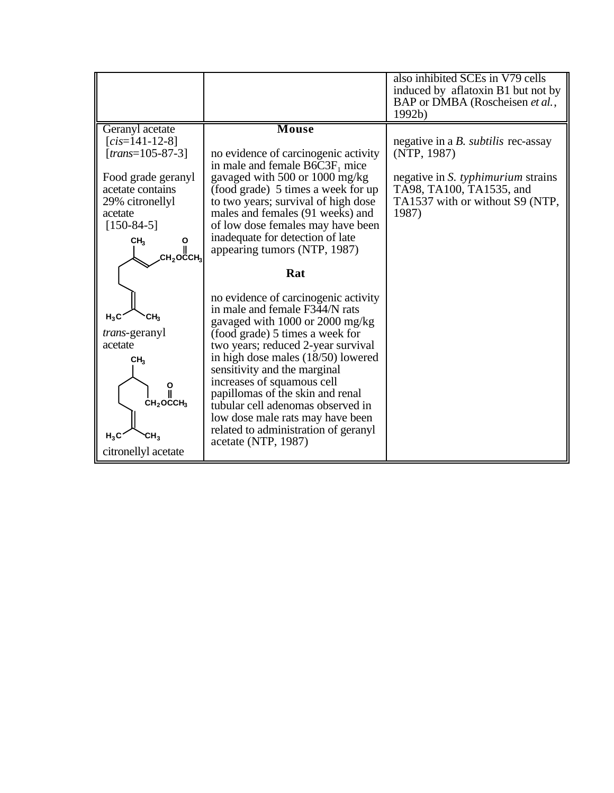|                                                                                                                                                                                       |                                                                                                                                                                                                                                                                                                                                                | also inhibited SCEs in V79 cells<br>induced by aflatoxin B1 but not by<br>BAP or DMBA (Roscheisen et al.,<br>1992b)                                                             |
|---------------------------------------------------------------------------------------------------------------------------------------------------------------------------------------|------------------------------------------------------------------------------------------------------------------------------------------------------------------------------------------------------------------------------------------------------------------------------------------------------------------------------------------------|---------------------------------------------------------------------------------------------------------------------------------------------------------------------------------|
| Geranyl acetate<br>$[cis=141-12-8]$<br>$[trans=105-87-3]$<br>Food grade geranyl<br>acetate contains<br>29% citronellyl<br>acetate<br>$[150-84-5]$<br>CH <sub>3</sub><br>Ο<br>сн,оссн, | Mouse<br>no evidence of carcinogenic activity<br>in male and female $B6C3F_1$ mice<br>gavaged with 500 or 1000 mg/kg<br>(food grade) 5 times a week for up<br>to two years; survival of high dose<br>males and females (91 weeks) and<br>of low dose females may have been<br>inadequate for detection of late<br>appearing tumors (NTP, 1987) | negative in a <i>B</i> . <i>subtilis</i> rec-assay<br>(NTP, 1987)<br>negative in S. typhimurium strains<br>TA98, TA100, TA1535, and<br>TA1537 with or without S9 (NTP,<br>1987) |
|                                                                                                                                                                                       | Rat                                                                                                                                                                                                                                                                                                                                            |                                                                                                                                                                                 |
| $H_3C$<br>CH <sub>3</sub><br><i>trans</i> -geranyl                                                                                                                                    | no evidence of carcinogenic activity<br>in male and female F344/N rats<br>gavaged with 1000 or 2000 mg/kg<br>(food grade) 5 times a week for                                                                                                                                                                                                   |                                                                                                                                                                                 |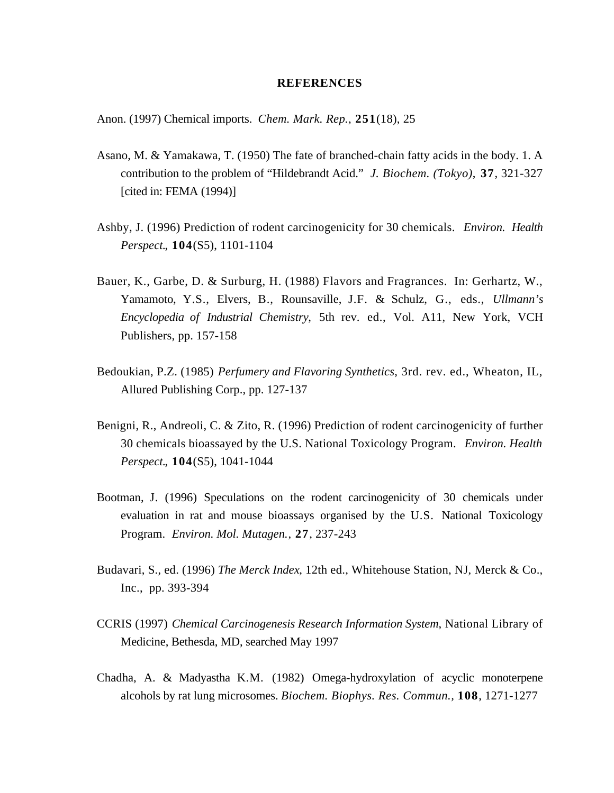#### **REFERENCES**

Anon. (1997) Chemical imports. *Chem. Mark. Rep.*, **251**(18), 25

- Asano, M. & Yamakawa, T. (1950) The fate of branched-chain fatty acids in the body. 1. A contribution to the problem of "Hildebrandt Acid." *J. Biochem. (Tokyo)*, **37**, 321-327 [cited in: FEMA (1994)]
- Ashby, J. (1996) Prediction of rodent carcinogenicity for 30 chemicals. *Environ. Health Perspect.*, **104**(S5), 1101-1104
- Bauer, K., Garbe, D. & Surburg, H. (1988) Flavors and Fragrances. In: Gerhartz, W., Yamamoto, Y.S., Elvers, B., Rounsaville, J.F. & Schulz, G., eds., *Ullmann's Encyclopedia of Industrial Chemistry*, 5th rev. ed., Vol. A11, New York, VCH Publishers, pp. 157-158
- Bedoukian, P.Z. (1985) *Perfumery and Flavoring Synthetics*, 3rd. rev. ed., Wheaton, IL, Allured Publishing Corp., pp. 127-137
- Benigni, R., Andreoli, C. & Zito, R. (1996) Prediction of rodent carcinogenicity of further 30 chemicals bioassayed by the U.S. National Toxicology Program. *Environ. Health Perspect.*, **104**(S5), 1041-1044
- Bootman, J. (1996) Speculations on the rodent carcinogenicity of 30 chemicals under evaluation in rat and mouse bioassays organised by the U.S. National Toxicology Program. *Environ. Mol. Mutagen.*, **27**, 237-243
- Budavari, S., ed. (1996) *The Merck Index*, 12th ed., Whitehouse Station, NJ, Merck & Co., Inc., pp. 393-394
- CCRIS (1997) *Chemical Carcinogenesis Research Information System*, National Library of Medicine, Bethesda, MD, searched May 1997
- Chadha, A. & Madyastha K.M. (1982) Omega-hydroxylation of acyclic monoterpene alcohols by rat lung microsomes. *Biochem. Biophys. Res. Commun.,* **108**, 1271-1277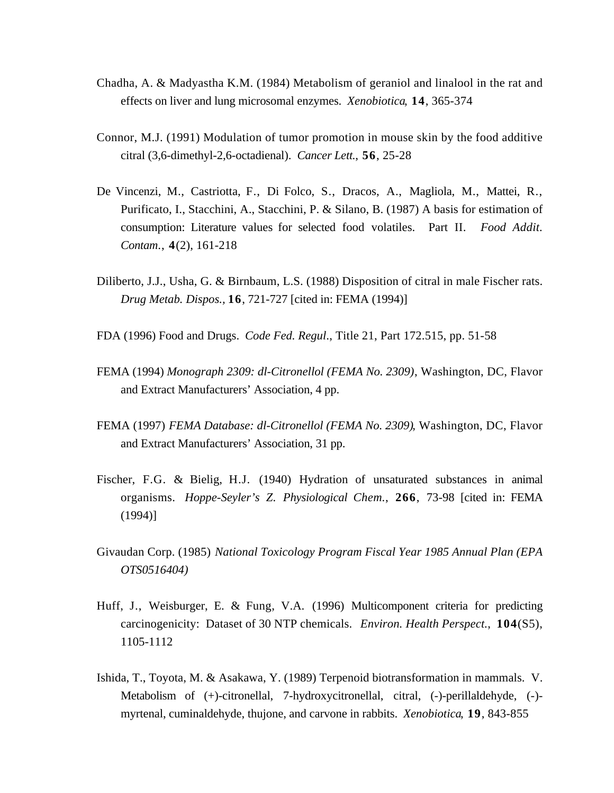- Chadha, A. & Madyastha K.M. (1984) Metabolism of geraniol and linalool in the rat and effects on liver and lung microsomal enzymes. *Xenobiotica*, **14**, 365-374
- Connor, M.J. (1991) Modulation of tumor promotion in mouse skin by the food additive citral (3,6-dimethyl-2,6-octadienal). *Cancer Lett.*, **56**, 25-28
- De Vincenzi, M., Castriotta, F., Di Folco, S., Dracos, A., Magliola, M., Mattei, R., Purificato, I., Stacchini, A., Stacchini, P. & Silano, B. (1987) A basis for estimation of consumption: Literature values for selected food volatiles. Part II. *Food Addit. Contam*., **4**(2), 161-218
- Diliberto, J.J., Usha, G. & Birnbaum, L.S. (1988) Disposition of citral in male Fischer rats. *Drug Metab. Dispos.,* **16**, 721-727 [cited in: FEMA (1994)]
- FDA (1996) Food and Drugs. *Code Fed. Regul*., Title 21, Part 172.515, pp. 51-58
- FEMA (1994) *Monograph 2309: dl-Citronellol (FEMA No. 2309)*, Washington, DC, Flavor and Extract Manufacturers' Association, 4 pp.
- FEMA (1997) *FEMA Database: dl-Citronellol (FEMA No. 2309)*, Washington, DC, Flavor and Extract Manufacturers' Association, 31 pp.
- Fischer, F.G. & Bielig, H.J. (1940) Hydration of unsaturated substances in animal organisms. *Hoppe-Seyler's Z. Physiological Chem.*, **266**, 73-98 [cited in: FEMA (1994)]
- Givaudan Corp. (1985) *National Toxicology Program Fiscal Year 1985 Annual Plan (EPA OTS0516404)*
- Huff, J., Weisburger, E. & Fung, V.A. (1996) Multicomponent criteria for predicting carcinogenicity: Dataset of 30 NTP chemicals. *Environ. Health Perspect.*, **104**(S5), 1105-1112
- Ishida, T., Toyota, M. & Asakawa, Y. (1989) Terpenoid biotransformation in mammals. V. Metabolism of (+)-citronellal, 7-hydroxycitronellal, citral, (-)-perillaldehyde, (-) myrtenal, cuminaldehyde, thujone, and carvone in rabbits. *Xenobiotica*, **19**, 843-855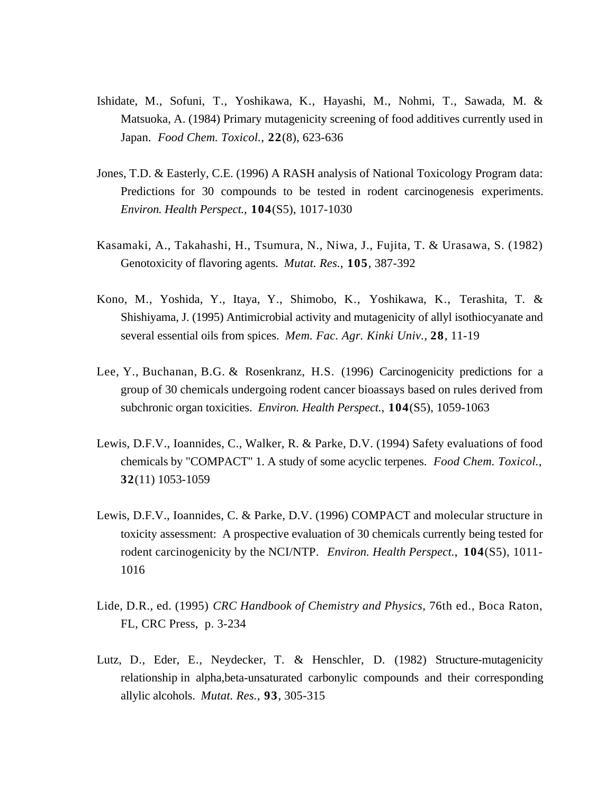- Ishidate, M., Sofuni, T., Yoshikawa, K., Hayashi, M., Nohmi, T., Sawada, M. & Matsuoka, A. (1984) Primary mutagenicity screening of food additives currently used in Japan. *Food Chem. Toxicol.*, **22**(8), 623-636
- Jones, T.D. & Easterly, C.E. (1996) A RASH analysis of National Toxicology Program data: Predictions for 30 compounds to be tested in rodent carcinogenesis experiments. *Environ. Health Perspect.*, **104**(S5), 1017-1030
- Kasamaki, A., Takahashi, H., Tsumura, N., Niwa, J., Fujita, T. & Urasawa, S. (1982) Genotoxicity of flavoring agents. *Mutat. Res.*, **105**, 387-392
- Kono, M., Yoshida, Y., Itaya, Y., Shimobo, K., Yoshikawa, K., Terashita, T. & Shishiyama, J. (1995) Antimicrobial activity and mutagenicity of allyl isothiocyanate and several essential oils from spices. *Mem. Fac. Agr. Kinki Univ.,* **28**, 11-19
- Lee, Y., Buchanan, B.G. & Rosenkranz, H.S. (1996) Carcinogenicity predictions for a group of 30 chemicals undergoing rodent cancer bioassays based on rules derived from subchronic organ toxicities. *Environ. Health Perspect.*, **104**(S5), 1059-1063
- Lewis, D.F.V., Ioannides, C., Walker, R. & Parke, D.V. (1994) Safety evaluations of food chemicals by "COMPACT" 1. A study of some acyclic terpenes. *Food Chem. Toxicol.*, **32**(11) 1053-1059
- Lewis, D.F.V., Ioannides, C. & Parke, D.V. (1996) COMPACT and molecular structure in toxicity assessment: A prospective evaluation of 30 chemicals currently being tested for rodent carcinogenicity by the NCI/NTP. *Environ. Health Perspect.*, **104**(S5), 1011- 1016
- Lide, D.R., ed. (1995) *CRC Handbook of Chemistry and Physics*, 76th ed., Boca Raton, FL, CRC Press, p. 3-234
- Lutz, D., Eder, E., Neydecker, T. & Henschler, D. (1982) Structure-mutagenicity relationship in alpha,beta-unsaturated carbonylic compounds and their corresponding allylic alcohols. *Mutat. Res.*, **93**, 305-315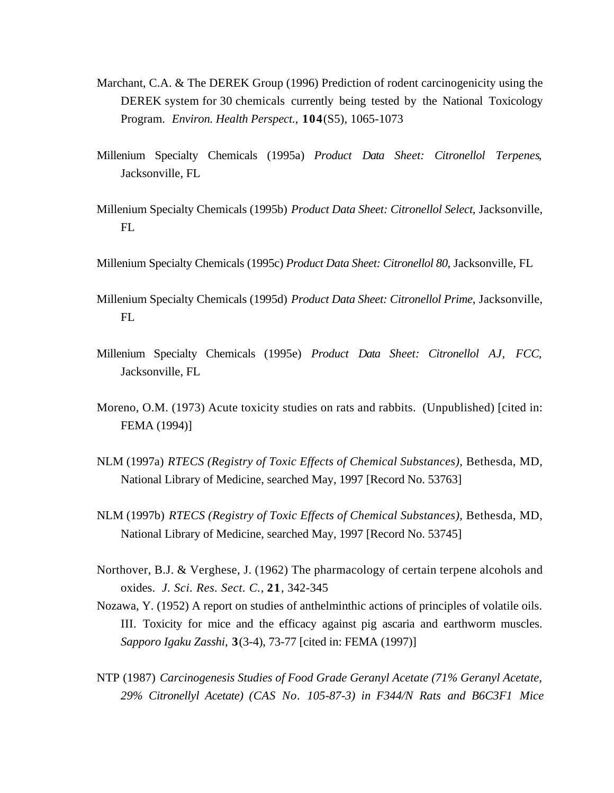- Marchant, C.A. & The DEREK Group (1996) Prediction of rodent carcinogenicity using the DEREK system for 30 chemicals currently being tested by the National Toxicology Program. *Environ. Health Perspect.*, **104**(S5), 1065-1073
- Millenium Specialty Chemicals (1995a) *Product Data Sheet: Citronellol Terpenes*, Jacksonville, FL
- Millenium Specialty Chemicals (1995b) *Product Data Sheet: Citronellol Select*, Jacksonville, FL
- Millenium Specialty Chemicals (1995c) *Product Data Sheet: Citronellol 80*, Jacksonville, FL
- Millenium Specialty Chemicals (1995d) *Product Data Sheet: Citronellol Prime*, Jacksonville, FL
- Millenium Specialty Chemicals (1995e) *Product Data Sheet: Citronellol AJ, FCC*, Jacksonville, FL
- Moreno, O.M. (1973) Acute toxicity studies on rats and rabbits. (Unpublished) [cited in: FEMA (1994)]
- NLM (1997a) *RTECS (Registry of Toxic Effects of Chemical Substances)*, Bethesda, MD, National Library of Medicine, searched May, 1997 [Record No. 53763]
- NLM (1997b) *RTECS (Registry of Toxic Effects of Chemical Substances)*, Bethesda, MD, National Library of Medicine, searched May, 1997 [Record No. 53745]
- Northover, B.J. & Verghese, J. (1962) The pharmacology of certain terpene alcohols and oxides. *J. Sci. Res. Sect. C.,* **21**, 342-345
- Nozawa, Y. (1952) A report on studies of anthelminthic actions of principles of volatile oils. III. Toxicity for mice and the efficacy against pig ascaria and earthworm muscles. *Sapporo Igaku Zasshi*, **3**(3-4), 73-77 [cited in: FEMA (1997)]
- NTP (1987) *Carcinogenesis Studies of Food Grade Geranyl Acetate (71% Geranyl Acetate, 29% Citronellyl Acetate) (CAS No. 105-87-3) in F344/N Rats and B6C3F1 Mice*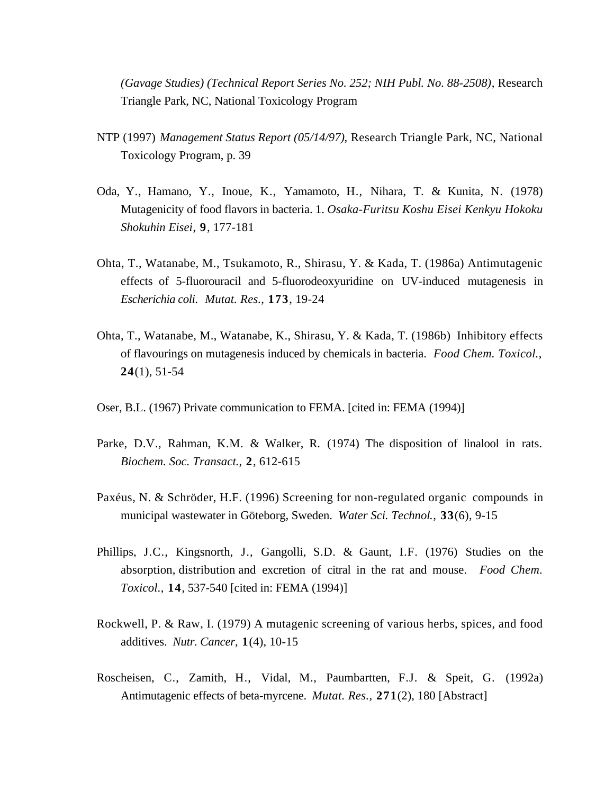*(Gavage Studies) (Technical Report Series No. 252; NIH Publ. No. 88-2508)*, Research Triangle Park, NC, National Toxicology Program

- NTP (1997) *Management Status Report (05/14/97)*, Research Triangle Park, NC, National Toxicology Program, p. 39
- Oda, Y., Hamano, Y., Inoue, K., Yamamoto, H., Nihara, T. & Kunita, N. (1978) Mutagenicity of food flavors in bacteria. 1. *Osaka-Furitsu Koshu Eisei Kenkyu Hokoku Shokuhin Eisei*, **9**, 177-181
- Ohta, T., Watanabe, M., Tsukamoto, R., Shirasu, Y. & Kada, T. (1986a) Antimutagenic effects of 5-fluorouracil and 5-fluorodeoxyuridine on UV-induced mutagenesis in *Escherichia coli*. *Mutat. Res.*, **173**, 19-24
- Ohta, T., Watanabe, M., Watanabe, K., Shirasu, Y. & Kada, T. (1986b) Inhibitory effects of flavourings on mutagenesis induced by chemicals in bacteria. *Food Chem. Toxicol.*, **24**(1), 51-54
- Oser, B.L. (1967) Private communication to FEMA. [cited in: FEMA (1994)]
- Parke, D.V., Rahman, K.M. & Walker, R. (1974) The disposition of linalool in rats. *Biochem. Soc. Transact.*, **2**, 612-615
- Paxéus, N. & Schröder, H.F. (1996) Screening for non-regulated organic compounds in municipal wastewater in Göteborg, Sweden. *Water Sci. Technol*., **33**(6), 9-15
- Phillips, J.C., Kingsnorth, J., Gangolli, S.D. & Gaunt, I.F. (1976) Studies on the absorption, distribution and excretion of citral in the rat and mouse. *Food Chem. Toxicol.*, **14**, 537-540 [cited in: FEMA (1994)]
- Rockwell, P. & Raw, I. (1979) A mutagenic screening of various herbs, spices, and food additives. *Nutr. Cancer*, **1**(4), 10-15
- Roscheisen, C., Zamith, H., Vidal, M., Paumbartten, F.J. & Speit, G. (1992a) Antimutagenic effects of beta-myrcene. *Mutat. Res.,* **271**(2), 180 [Abstract]